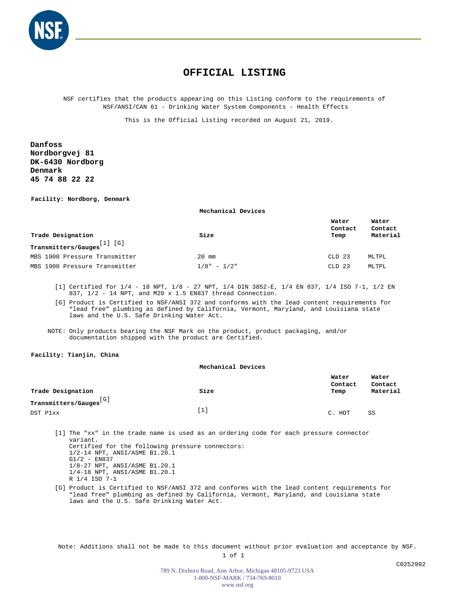

## **OFFICIAL LISTING**

NSF certifies that the products appearing on this Listing conform to the requirements of NSF/ANSI/CAN 61 - Drinking Water System Components - Health Effects

This is the Official Listing recorded on August 21, 2019.

**Danfoss Nordborgvej 81 DK-6430 Nordborg Denmark 45 74 88 22 22**

**Facility: Nordborg, Denmark**

**Mechanical Devices**

| Trade Designation<br>[1] [G]<br>Transmitters/Gauges | Size          | Water<br>Contact<br>Temp | Water<br>Contact<br>Material |
|-----------------------------------------------------|---------------|--------------------------|------------------------------|
|                                                     |               |                          |                              |
| MBS 1900 Pressure Transmitter                       | $20$ mm       | CLD 23                   | MLTPL                        |
| MBS 1900 Pressure Transmitter                       | $1/8" - 1/2"$ | $CLD$ 23                 | MLTPL                        |

[1] Certified for 1/4 - 18 NPT, 1/8 - 27 NPT, 1/4 DIN 3852-E, 1/4 EN 837, 1/4 ISO 7-1, 1/2 EN 837, 1/2 - 14 NPT, and M20 x 1.5 EN837 thread Connection.

[G] Product is Certified to NSF/ANSI 372 and conforms with the lead content requirements for "lead free" plumbing as defined by California, Vermont, Maryland, and Louisiana state laws and the U.S. Safe Drinking Water Act.

NOTE: Only products bearing the NSF Mark on the product, product packaging, and/or documentation shipped with the product are Certified.

### **Facility: Tianjin, China**

|                            | Mechanical Devices |                          |                              |  |
|----------------------------|--------------------|--------------------------|------------------------------|--|
| Trade Designation          | Size               | Water<br>Contact<br>Temp | Water<br>Contact<br>Material |  |
| [G]<br>Transmitters/Gauges |                    |                          |                              |  |
| DST P1xx                   | $[1]$              | HOT<br>C.                | SS                           |  |

[1] The "xx" in the trade name is used as an ordering code for each pressure connector variant. Certified for the following pressure connectors: 1/2-14 NPT, ANSI/ASME B1.20.1 G1/2 - EN837 1/8-27 NPT, ANSI/ASME B1.20.1 1/4-18 NPT, ANSI/ASME B1.20.1 R 1/4 ISO 7-1

[G] Product is Certified to NSF/ANSI 372 and conforms with the lead content requirements for "lead free" plumbing as defined by California, Vermont, Maryland, and Louisiana state laws and the U.S. Safe Drinking Water Act.

Note: Additions shall not be made to this document without prior evaluation and acceptance by NSF.